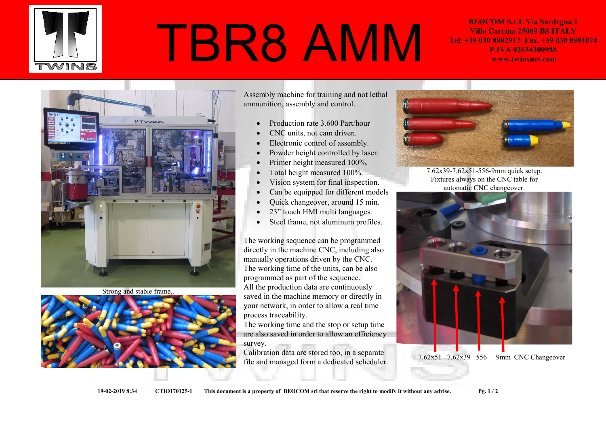

## TBR8 AMM

BEØCOM S.r.L Via Sardegna 1 Villa Carcina 25069 BS ITALY Tel. +39 030 8982917 Fax. +39 030 8981074 P.IVA 02634300988 www.twinsnet.com



Strong and stable frame,.



Assembly machine for training and not lethal ammunition, assembly and control.

- Production rate 3.600 Part/hour
- CNC units, not cam driven.
- Electronic control of assembly.
- Powder height controlled by laser.
- Primer height measured 100%.
- Total height measured 100%.
- Vision system for final inspection.
- Can be equipped for different models
- Quick changeover, around 15 min.
- 23" touch HMI multi languages.
- Steel frame, not aluminum profiles.

The working sequence can be programmed directly in the machine CNC, including also manually operations driven by the CNC. The working time of the units, can be also programmed as part of the sequence. All the production data are continuously saved in the machine memory or directly in your network, in order to allow a real time process traceability.

The working time and the stop or setup time are also saved in order to allow an efficiency survey.

Calibration data are stored too, in a separate file and managed form a dedicated scheduler.



7.62x39-7.62x51-556-9mm quick setup. Fixtures always on the CNC table for automatic CNC changeover.



7.62x51 7.62x39 556 9mm CNC Changeover

19-02-2019 8:34 CTIO170125-1 This document is a property of BEØCOM srl that reserve the right to modify it without any advise. Pg. 1 / 2